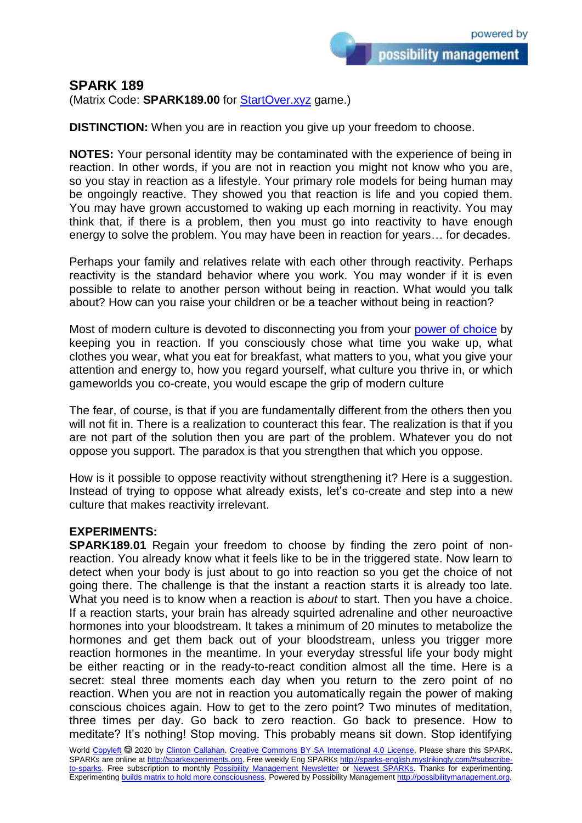## **SPARK 189**

(Matrix Code: **SPARK189.00** for **StartOver.xyz** game.)

**DISTINCTION:** When you are in reaction you give up your freedom to choose.

**NOTES:** Your personal identity may be contaminated with the experience of being in reaction. In other words, if you are not in reaction you might not know who you are, so you stay in reaction as a lifestyle. Your primary role models for being human may be ongoingly reactive. They showed you that reaction is life and you copied them. You may have grown accustomed to waking up each morning in reactivity. You may think that, if there is a problem, then you must go into reactivity to have enough energy to solve the problem. You may have been in reaction for years… for decades.

Perhaps your family and relatives relate with each other through reactivity. Perhaps reactivity is the standard behavior where you work. You may wonder if it is even possible to relate to another person without being in reaction. What would you talk about? How can you raise your children or be a teacher without being in reaction?

Most of modern culture is devoted to disconnecting you from your [power of choice](http://3powers.startover.xyz/) by keeping you in reaction. If you consciously chose what time you wake up, what clothes you wear, what you eat for breakfast, what matters to you, what you give your attention and energy to, how you regard yourself, what culture you thrive in, or which gameworlds you co-create, you would escape the grip of modern culture

The fear, of course, is that if you are fundamentally different from the others then you will not fit in. There is a realization to counteract this fear. The realization is that if you are not part of the solution then you are part of the problem. Whatever you do not oppose you support. The paradox is that you strengthen that which you oppose.

How is it possible to oppose reactivity without strengthening it? Here is a suggestion. Instead of trying to oppose what already exists, let's co-create and step into a new culture that makes reactivity irrelevant.

## **EXPERIMENTS:**

**SPARK189.01** Regain your freedom to choose by finding the zero point of nonreaction. You already know what it feels like to be in the triggered state. Now learn to detect when your body is just about to go into reaction so you get the choice of not going there. The challenge is that the instant a reaction starts it is already too late. What you need is to know when a reaction is *about* to start. Then you have a choice. If a reaction starts, your brain has already squirted adrenaline and other neuroactive hormones into your bloodstream. It takes a minimum of 20 minutes to metabolize the hormones and get them back out of your bloodstream, unless you trigger more reaction hormones in the meantime. In your everyday stressful life your body might be either reacting or in the ready-to-react condition almost all the time. Here is a secret: steal three moments each day when you return to the zero point of no reaction. When you are not in reaction you automatically regain the power of making conscious choices again. How to get to the zero point? Two minutes of meditation, three times per day. Go back to zero reaction. Go back to presence. How to meditate? It's nothing! Stop moving. This probably means sit down. Stop identifying